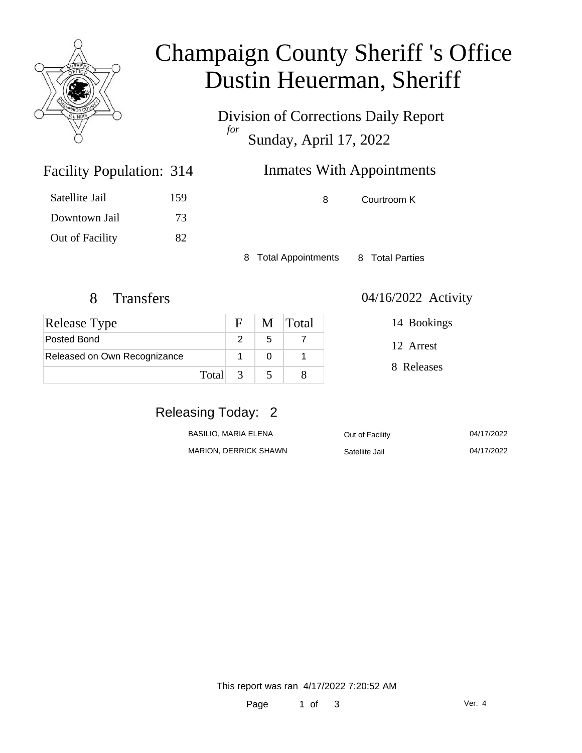

## Champaign County Sheriff 's Office Dustin Heuerman, Sheriff

Division of Corrections Daily Report *for* Sunday, April 17, 2022

### Inmates With Appointments

| Satellite Jail  | 159 |
|-----------------|-----|
| Downtown Jail   | 73  |
| Out of Facility | 82  |

Facility Population: 314

8 Courtroom K

8 Total Appointments 8 Total Parties

| <b>Release Type</b>          |         | $\mathbf{E}$ |   | M Total |
|------------------------------|---------|--------------|---|---------|
| Posted Bond                  |         |              | 5 |         |
| Released on Own Recognizance |         |              |   |         |
|                              | Total 3 |              |   |         |

8 Transfers 04/16/2022 Activity

12 Arrest

14 Bookings

8 Releases

### Releasing Today: 2

| BASILIO. MARIA ELENA         | Out of Facility | 04/17/2022 |
|------------------------------|-----------------|------------|
| <b>MARION, DERRICK SHAWN</b> | Satellite Jail  | 04/17/2022 |

ite Jail 04/17/2022

This report was ran 4/17/2022 7:20:52 AM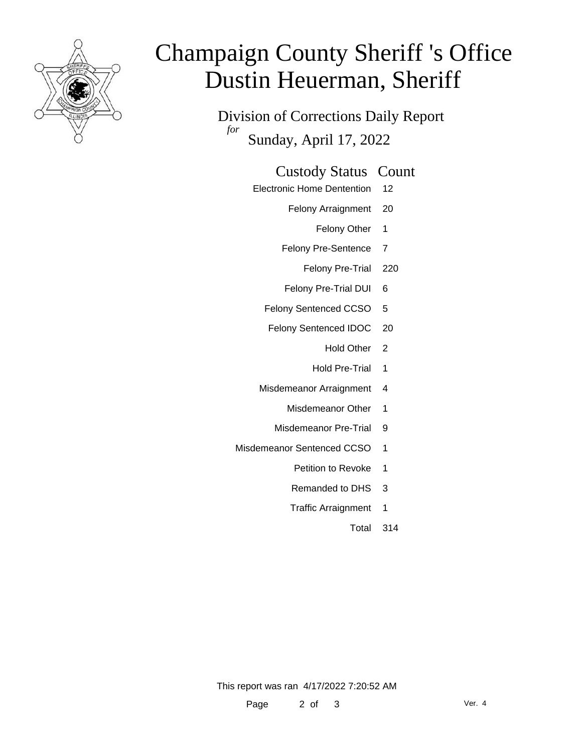

# Champaign County Sheriff 's Office Dustin Heuerman, Sheriff

Division of Corrections Daily Report *for* Sunday, April 17, 2022

#### Custody Status Count

- Electronic Home Dentention 12
	- Felony Arraignment 20
		- Felony Other 1
	- Felony Pre-Sentence 7
		- Felony Pre-Trial 220
	- Felony Pre-Trial DUI 6
	- Felony Sentenced CCSO 5
	- Felony Sentenced IDOC 20
		- Hold Other 2
		- Hold Pre-Trial 1
	- Misdemeanor Arraignment 4
		- Misdemeanor Other 1
		- Misdemeanor Pre-Trial 9
- Misdemeanor Sentenced CCSO 1
	- Petition to Revoke 1
	- Remanded to DHS 3
	- Traffic Arraignment 1
		- Total 314

This report was ran 4/17/2022 7:20:52 AM